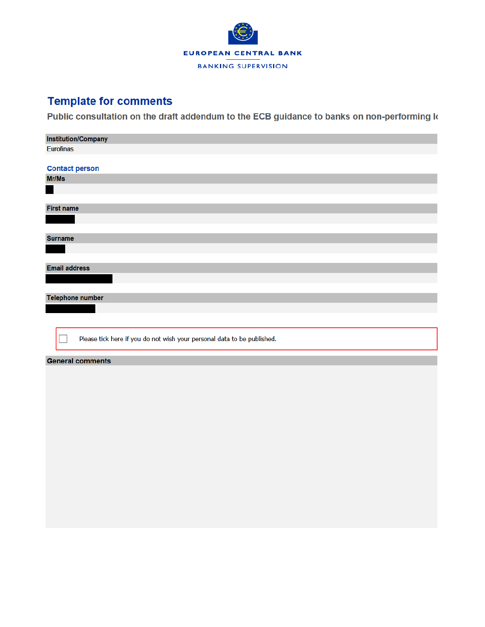

## **Template for comments**

Public consultation on the draft addendum to the ECB guidance to banks on non-performing k

| <b>Institution/Company</b>                                              |  |  |  |  |  |  |  |  |
|-------------------------------------------------------------------------|--|--|--|--|--|--|--|--|
| <b>Eurofinas</b>                                                        |  |  |  |  |  |  |  |  |
|                                                                         |  |  |  |  |  |  |  |  |
| <b>Contact person</b>                                                   |  |  |  |  |  |  |  |  |
| Mr/Ms                                                                   |  |  |  |  |  |  |  |  |
|                                                                         |  |  |  |  |  |  |  |  |
|                                                                         |  |  |  |  |  |  |  |  |
| <b>First name</b>                                                       |  |  |  |  |  |  |  |  |
|                                                                         |  |  |  |  |  |  |  |  |
|                                                                         |  |  |  |  |  |  |  |  |
| <b>Surname</b>                                                          |  |  |  |  |  |  |  |  |
|                                                                         |  |  |  |  |  |  |  |  |
|                                                                         |  |  |  |  |  |  |  |  |
| <b>Email address</b>                                                    |  |  |  |  |  |  |  |  |
|                                                                         |  |  |  |  |  |  |  |  |
|                                                                         |  |  |  |  |  |  |  |  |
| <b>Telephone number</b>                                                 |  |  |  |  |  |  |  |  |
|                                                                         |  |  |  |  |  |  |  |  |
|                                                                         |  |  |  |  |  |  |  |  |
|                                                                         |  |  |  |  |  |  |  |  |
| Please tick here if you do not wish your personal data to be published. |  |  |  |  |  |  |  |  |
|                                                                         |  |  |  |  |  |  |  |  |
| <b>General comments</b>                                                 |  |  |  |  |  |  |  |  |
|                                                                         |  |  |  |  |  |  |  |  |
|                                                                         |  |  |  |  |  |  |  |  |
|                                                                         |  |  |  |  |  |  |  |  |